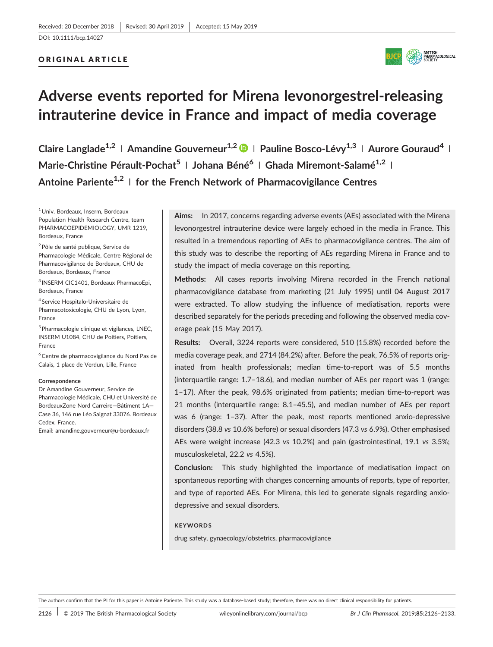## ORIGINAL ARTICLE



# Adverse events reported for Mirena levonorgestrel‐releasing intrauterine device in France and impact of media coverage

Claire Langlade<sup>1,2</sup> | Amandine Gouverneur<sup>1,2</sup>  $\bullet$  | Pauline Bosco-Lévy<sup>1,3</sup> | Aurore Gouraud<sup>4</sup> | Marie‐Christine Pérault‐Pochat<sup>5</sup> | Johana Béné<sup>6</sup> | Ghada Miremont‐Salamé<sup>1,2</sup> | Antoine Pariente<sup>1,2</sup> | for the French Network of Pharmacovigilance Centres

<sup>1</sup> Univ. Bordeaux, Inserm, Bordeaux Population Health Research Centre, team PHARMACOEPIDEMIOLOGY, UMR 1219, Bordeaux, France

2Pôle de santé publique, Service de Pharmacologie Médicale, Centre Régional de Pharmacovigilance de Bordeaux, CHU de Bordeaux, Bordeaux, France

<sup>3</sup> INSERM CIC1401, Bordeaux PharmacoEpi, Bordeaux, France

<sup>4</sup> Service Hospitalo‐Universitaire de Pharmacotoxicologie, CHU de Lyon, Lyon, France

<sup>5</sup> Pharmacologie clinique et vigilances, LNEC, INSERM U1084, CHU de Poitiers, Poitiers, France

6Centre de pharmacovigilance du Nord Pas de Calais, 1 place de Verdun, Lille, France

#### Correspondence

Dr Amandine Gouverneur, Service de Pharmacologie Médicale, CHU et Université de BordeauxZone Nord Carreire—Bâtiment 1A— Case 36, 146 rue Léo Saignat 33076. Bordeaux Cedex, France.

Email: amandine.gouverneur@u‐bordeaux.fr

Aims: In 2017, concerns regarding adverse events (AEs) associated with the Mirena levonorgestrel intrauterine device were largely echoed in the media in France. This resulted in a tremendous reporting of AEs to pharmacovigilance centres. The aim of this study was to describe the reporting of AEs regarding Mirena in France and to study the impact of media coverage on this reporting.

Methods: All cases reports involving Mirena recorded in the French national pharmacovigilance database from marketing (21 July 1995) until 04 August 2017 were extracted. To allow studying the influence of mediatisation, reports were described separately for the periods preceding and following the observed media coverage peak (15 May 2017).

Results: Overall, 3224 reports were considered, 510 (15.8%) recorded before the media coverage peak, and 2714 (84.2%) after. Before the peak, 76.5% of reports originated from health professionals; median time‐to‐report was of 5.5 months (interquartile range: 1.7–18.6), and median number of AEs per report was 1 (range: 1–17). After the peak, 98.6% originated from patients; median time‐to‐report was 21 months (interquartile range: 8.1–45.5), and median number of AEs per report was 6 (range: 1-37). After the peak, most reports mentioned anxio-depressive disorders (38.8 vs 10.6% before) or sexual disorders (47.3 vs 6.9%). Other emphasised AEs were weight increase (42.3 vs 10.2%) and pain (gastrointestinal, 19.1 vs 3.5%; musculoskeletal, 22.2 vs 4.5%).

Conclusion: This study highlighted the importance of mediatisation impact on spontaneous reporting with changes concerning amounts of reports, type of reporter, and type of reported AEs. For Mirena, this led to generate signals regarding anxiodepressive and sexual disorders.

#### **KEYWORDS**

drug safety, gynaecology/obstetrics, pharmacovigilance

The authors confirm that the PI for this paper is Antoine Pariente. This study was a database-based study; therefore, there was no direct clinical responsibility for patients.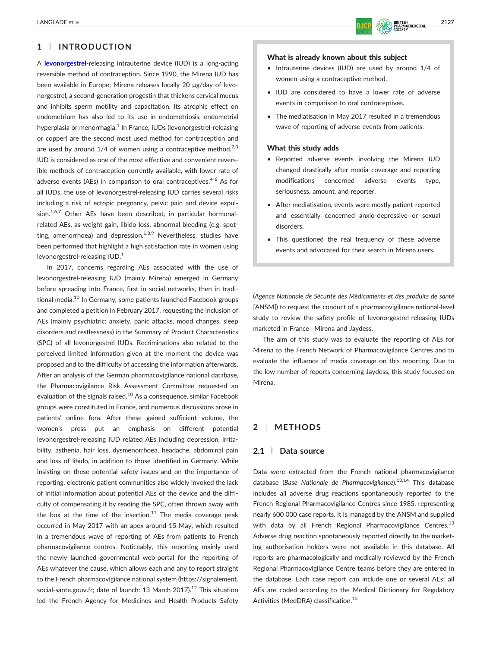# 1 | INTRODUCTION

A [levonorgestrel](http://www.guidetopharmacology.org/GRAC/LigandDisplayForward?ligandId=2881)-releasing intrauterine device (IUD) is a long-acting reversible method of contraception. Since 1990, the Mirena IUD has been available in Europe; Mirena releases locally 20 μg/day of levonorgestrel, a second‐generation progestin that thickens cervical mucus and inhibits sperm motility and capacitation. Its atrophic effect on endometrium has also led to its use in endometriosis, endometrial hyperplasia or menorrhagia.<sup>1</sup> In France, IUDs (levonorgestrel-releasing or copper) are the second most used method for contraception and are used by around  $1/4$  of women using a contraceptive method.<sup>2,3</sup> IUD is considered as one of the most effective and convenient reversible methods of contraception currently available, with lower rate of adverse events (AEs) in comparison to oral contraceptives.<sup>4-6</sup> As for all IUDs, the use of levonorgestrel‐releasing IUD carries several risks including a risk of ectopic pregnancy, pelvic pain and device expulsion. $1,6,7$  Other AEs have been described, in particular hormonalrelated AEs, as weight gain, libido loss, abnormal bleeding (e.g. spotting, amenorrhoea) and depression.<sup>1,8,9</sup> Nevertheless, studies have been performed that highlight a high satisfaction rate in women using levonorgestrel-releasing IUD.<sup>1</sup>

In 2017, concerns regarding AEs associated with the use of levonorgestrel‐releasing IUD (mainly Mirena) emerged in Germany before spreading into France, first in social networks, then in traditional media.<sup>10</sup> In Germany, some patients launched Facebook groups and completed a petition in February 2017, requesting the inclusion of AEs (mainly psychiatric: anxiety, panic attacks, mood changes, sleep disorders and restlessness) in the Summary of Product Characteristics (SPC) of all levonorgestrel IUDs. Recriminations also related to the perceived limited information given at the moment the device was proposed and to the difficulty of accessing the information afterwards. After an analysis of the German pharmacovigilance national database, the Pharmacovigilance Risk Assessment Committee requested an evaluation of the signals raised.<sup>10</sup> As a consequence, similar Facebook groups were constituted in France, and numerous discussions arose in patients' online fora. After these gained sufficient volume, the women's press put an emphasis on different potential levonorgestrel‐releasing IUD related AEs including depression, irritability, asthenia, hair loss, dysmenorrhoea, headache, abdominal pain and loss of libido, in addition to those identified in Germany. While insisting on these potential safety issues and on the importance of reporting, electronic patient communities also widely invoked the lack of initial information about potential AEs of the device and the difficulty of compensating it by reading the SPC, often thrown away with the box at the time of the insertion. $11$  The media coverage peak occurred in May 2017 with an apex around 15 May, which resulted in a tremendous wave of reporting of AEs from patients to French pharmacovigilance centres. Noticeably, this reporting mainly used the newly launched governmental web‐portal for the reporting of AEs whatever the cause, which allows each and any to report straight to the French pharmacovigilance national system [\(https://signalement.](https://signalement.social-sante.gouv.fr) social-[sante.gouv.fr;](https://signalement.social-sante.gouv.fr) date of launch: 13 March 2017).<sup>12</sup> This situation led the French Agency for Medicines and Health Products Safety

## What is already known about this subject

- Intrauterine devices (IUD) are used by around 1/4 of women using a contraceptive method.
- IUD are considered to have a lower rate of adverse events in comparison to oral contraceptives.
- The mediatisation in May 2017 resulted in a tremendous wave of reporting of adverse events from patients.

## What this study adds

- Reported adverse events involving the Mirena IUD changed drastically after media coverage and reporting modifications concerned adverse events type, seriousness, amount, and reporter.
- After mediatisation, events were mostly patient‐reported and essentially concerned anxio‐depressive or sexual disorders.
- This questioned the real frequency of these adverse events and advocated for their search in Mirena users.

(Agence Nationale de Sécurité des Médicaments et des produits de santé [ANSM]) to request the conduct of a pharmacovigilance national-level study to review the safety profile of levonorgestrel‐releasing IUDs marketed in France—Mirena and Jaydess.

The aim of this study was to evaluate the reporting of AEs for Mirena to the French Network of Pharmacovigilance Centres and to evaluate the influence of media coverage on this reporting. Due to the low number of reports concerning Jaydess, this study focused on Mirena.

# 2 | METHODS

## 2.1 | Data source

Data were extracted from the French national pharmacovigilance database (Base Nationale de Pharmacovigilance).<sup>13,14</sup> This database includes all adverse drug reactions spontaneously reported to the French Regional Pharmacovigilance Centres since 1985, representing nearly 600 000 case reports. It is managed by the ANSM and supplied with data by all French Regional Pharmacovigilance Centres.<sup>13</sup> Adverse drug reaction spontaneously reported directly to the marketing authorisation holders were not available in this database. All reports are pharmacologically and medically reviewed by the French Regional Pharmacovigilance Centre teams before they are entered in the database. Each case report can include one or several AEs; all AEs are coded according to the Medical Dictionary for Regulatory Activities (MedDRA) classification.15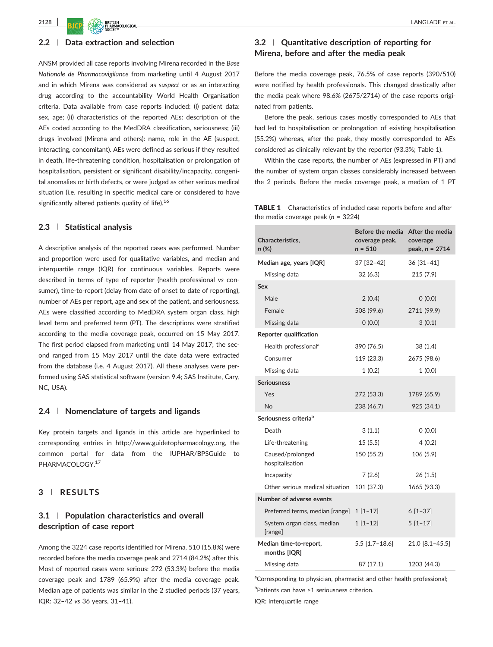

## 2.2 | Data extraction and selection

ANSM provided all case reports involving Mirena recorded in the Base Nationale de Pharmacovigilance from marketing until 4 August 2017 and in which Mirena was considered as suspect or as an interacting drug according to the accountability World Health Organisation criteria. Data available from case reports included: (i) patient data: sex, age; (ii) characteristics of the reported AEs: description of the AEs coded according to the MedDRA classification, seriousness; (iii) drugs involved (Mirena and others): name, role in the AE (suspect, interacting, concomitant). AEs were defined as serious if they resulted in death, life‐threatening condition, hospitalisation or prolongation of hospitalisation, persistent or significant disability/incapacity, congenital anomalies or birth defects, or were judged as other serious medical situation (i.e. resulting in specific medical care or considered to have significantly altered patients quality of life).<sup>16</sup>

## 2.3 | Statistical analysis

A descriptive analysis of the reported cases was performed. Number and proportion were used for qualitative variables, and median and interquartile range (IQR) for continuous variables. Reports were described in terms of type of reporter (health professional vs consumer), time-to-report (delay from date of onset to date of reporting), number of AEs per report, age and sex of the patient, and seriousness. AEs were classified according to MedDRA system organ class, high level term and preferred term (PT). The descriptions were stratified according to the media coverage peak, occurred on 15 May 2017. The first period elapsed from marketing until 14 May 2017; the second ranged from 15 May 2017 until the date data were extracted from the database (i.e. 4 August 2017). All these analyses were performed using SAS statistical software (version 9.4; SAS Institute, Cary, NC, USA).

#### 2.4 | Nomenclature of targets and ligands

Key protein targets and ligands in this article are hyperlinked to corresponding entries in [http://www.guidetopharmacology.org,](http://www.guidetopharmacology.org) the common portal for data from the IUPHAR/BPSGuide to PHARMACOLOGY.<sup>17</sup>

## 3 | RESULTS

## 3.1 | Population characteristics and overall description of case report

Among the 3224 case reports identified for Mirena, 510 (15.8%) were recorded before the media coverage peak and 2714 (84.2%) after this. Most of reported cases were serious: 272 (53.3%) before the media coverage peak and 1789 (65.9%) after the media coverage peak. Median age of patients was similar in the 2 studied periods (37 years, IQR: 32–42 vs 36 years, 31–41).

# 3.2 | Quantitative description of reporting for Mirena, before and after the media peak

Before the media coverage peak, 76.5% of case reports (390/510) were notified by health professionals. This changed drastically after the media peak where 98.6% (2675/2714) of the case reports originated from patients.

Before the peak, serious cases mostly corresponded to AEs that had led to hospitalisation or prolongation of existing hospitalisation (55.2%) whereas, after the peak, they mostly corresponded to AEs considered as clinically relevant by the reporter (93.3%; Table 1).

Within the case reports, the number of AEs (expressed in PT) and the number of system organ classes considerably increased between the 2 periods. Before the media coverage peak, a median of 1 PT

TABLE 1 Characteristics of included case reports before and after the media coverage peak ( $n = 3224$ )

| Characteristics,<br>n(%)               | Before the media<br>coverage peak,<br>$n = 510$ | After the media<br>coverage<br>peak, n = 2714 |  |
|----------------------------------------|-------------------------------------------------|-----------------------------------------------|--|
| Median age, years [IQR]                | 37 [32-42]                                      | 36 [31-41]                                    |  |
| Missing data                           | 32(6.3)                                         | 215 (7.9)                                     |  |
| Sex                                    |                                                 |                                               |  |
| Male                                   | 2(0.4)                                          | 0(0.0)                                        |  |
| Female                                 | 508 (99.6)                                      | 2711 (99.9)                                   |  |
| Missing data                           | (0.0)                                           | 3(0.1)                                        |  |
| Reporter qualification                 |                                                 |                                               |  |
| Health professional <sup>a</sup>       | 390 (76.5)                                      | 38 (1.4)                                      |  |
| Consumer                               | 119 (23.3)                                      | 2675 (98.6)                                   |  |
| Missing data                           | 1(0.2)                                          | 1(0.0)                                        |  |
| <b>Seriousness</b>                     |                                                 |                                               |  |
| Yes                                    | 272 (53.3)                                      | 1789 (65.9)                                   |  |
| <b>No</b>                              | 238 (46.7)                                      | 925 (34.1)                                    |  |
| Seriousness criteria <sup>b</sup>      |                                                 |                                               |  |
| Death                                  | 3(1.1)                                          | 0(0.0)                                        |  |
| Life-threatening                       | 15(5.5)                                         | 4(0.2)                                        |  |
| Caused/prolonged<br>hospitalisation    | 150 (55.2)                                      | 106 (5.9)                                     |  |
| Incapacity                             | 7(2.6)                                          | 26(1.5)                                       |  |
| Other serious medical situation        | 101 (37.3)                                      | 1665 (93.3)                                   |  |
| Number of adverse events               |                                                 |                                               |  |
| Preferred terms, median [range]        | $1[1-17]$                                       | $6[1-37]$                                     |  |
| System organ class, median<br>[range]  | $1 [1 - 12]$                                    | $5 [1 - 17]$                                  |  |
| Median time-to-report,<br>months [IQR] | $5.5$ [1.7-18.6]                                | 21.0 [8.1-45.5]                               |  |
| Missing data                           | 87 (17.1)                                       | 1203 (44.3)                                   |  |

<sup>a</sup>Corresponding to physician, pharmacist and other health professional;

b Patients can have >1 seriousness criterion.

IQR: interquartile range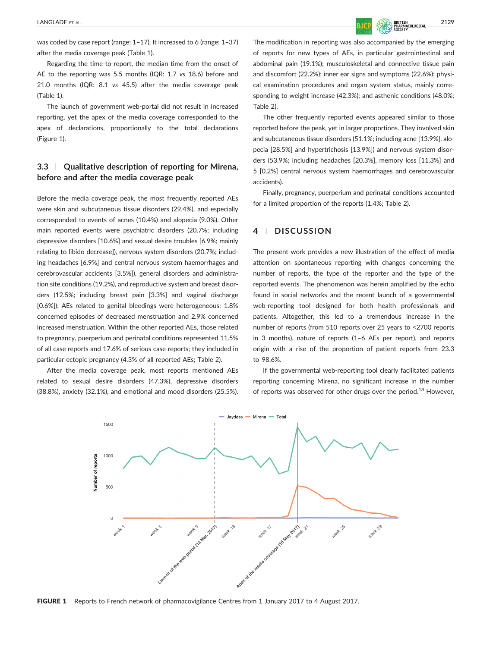

was coded by case report (range: 1–17). It increased to 6 (range: 1–37) after the media coverage peak (Table 1).

Regarding the time‐to‐report, the median time from the onset of AE to the reporting was 5.5 months (IQR: 1.7 vs 18.6) before and 21.0 months (IQR: 8.1 vs 45.5) after the media coverage peak (Table 1).

The launch of government web‐portal did not result in increased reporting, yet the apex of the media coverage corresponded to the apex of declarations, proportionally to the total declarations (Figure 1).

# 3.3 | Qualitative description of reporting for Mirena, before and after the media coverage peak

Before the media coverage peak, the most frequently reported AEs were skin and subcutaneous tissue disorders (29.4%), and especially corresponded to events of acnes (10.4%) and alopecia (9.0%). Other main reported events were psychiatric disorders (20.7%; including depressive disorders [10.6%] and sexual desire troubles [6.9%; mainly relating to libido decrease]), nervous system disorders (20.7%; including headaches [6.9%] and central nervous system haemorrhages and cerebrovascular accidents [3.5%]), general disorders and administration site conditions (19.2%), and reproductive system and breast disorders (12.5%; including breast pain [3.3%] and vaginal discharge [0.6%]); AEs related to genital bleedings were heterogeneous: 1.8% concerned episodes of decreased menstruation and 2.9% concerned increased menstruation. Within the other reported AEs, those related to pregnancy, puerperium and perinatal conditions represented 11.5% of all case reports and 17.6% of serious case reports; they included in particular ectopic pregnancy (4.3% of all reported AEs; Table 2).

After the media coverage peak, most reports mentioned AEs related to sexual desire disorders (47.3%), depressive disorders (38.8%), anxiety (32.1%), and emotional and mood disorders (25.5%).

The modification in reporting was also accompanied by the emerging of reports for new types of AEs, in particular gastrointestinal and abdominal pain (19.1%); musculoskeletal and connective tissue pain and discomfort (22.2%); inner ear signs and symptoms (22.6%); physical examination procedures and organ system status, mainly corresponding to weight increase (42.3%); and asthenic conditions (48.0%; Table 2).

The other frequently reported events appeared similar to those reported before the peak, yet in larger proportions. They involved skin and subcutaneous tissue disorders (51.1%; including acne [13.9%], alopecia [28.5%] and hypertrichosis [13.9%]) and nervous system disorders (53.9%; including headaches [20.3%], memory loss [11.3%] and 5 [0.2%] central nervous system haemorrhages and cerebrovascular accidents).

Finally, pregnancy, puerperium and perinatal conditions accounted for a limited proportion of the reports (1.4%; Table 2).

## 4 | DISCUSSION

The present work provides a new illustration of the effect of media attention on spontaneous reporting with changes concerning the number of reports, the type of the reporter and the type of the reported events. The phenomenon was herein amplified by the echo found in social networks and the recent launch of a governmental web-reporting tool designed for both health professionals and patients. Altogether, this led to a tremendous increase in the number of reports (from 510 reports over 25 years to <2700 reports in 3 months), nature of reports (1–6 AEs per report), and reports origin with a rise of the proportion of patient reports from 23.3 to 98.6%.

If the governmental web‐reporting tool clearly facilitated patients reporting concerning Mirena, no significant increase in the number of reports was observed for other drugs over the period.<sup>18</sup> However,



FIGURE 1 Reports to French network of pharmacovigilance Centres from 1 January 2017 to 4 August 2017.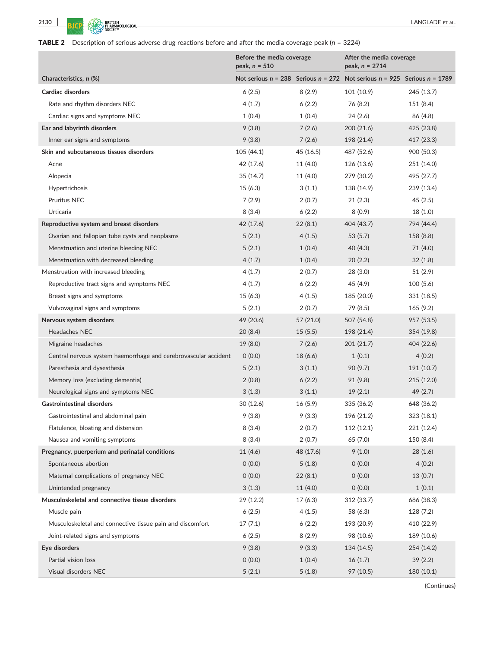2130 **LANGLADE** ET AL.

# TABLE 2 Description of serious adverse drug reactions before and after the media coverage peak (n = 3224)

|                                                                 | Before the media coverage<br>peak, $n = 510$ |           | After the media coverage<br>peak, $n = 2714$                                     |            |
|-----------------------------------------------------------------|----------------------------------------------|-----------|----------------------------------------------------------------------------------|------------|
| Characteristics, n (%)                                          |                                              |           | Not serious $n = 238$ Serious $n = 272$ Not serious $n = 925$ Serious $n = 1789$ |            |
| Cardiac disorders                                               | 6(2.5)                                       | 8(2.9)    | 101 (10.9)                                                                       | 245 (13.7) |
| Rate and rhythm disorders NEC                                   | 4(1.7)                                       | 6(2.2)    | 76 (8.2)                                                                         | 151 (8.4)  |
| Cardiac signs and symptoms NEC                                  | 1(0.4)                                       | 1(0.4)    | 24 (2.6)                                                                         | 86 (4.8)   |
| Ear and labyrinth disorders                                     | 9(3.8)                                       | 7(2.6)    | 200 (21.6)                                                                       | 425 (23.8) |
| Inner ear signs and symptoms                                    | 9(3.8)                                       | 7(2.6)    | 198 (21.4)                                                                       | 417 (23.3) |
| Skin and subcutaneous tissues disorders                         | 105 (44.1)                                   | 45 (16.5) | 487 (52.6)                                                                       | 900 (50.3) |
| Acne                                                            | 42 (17.6)                                    | 11 (4.0)  | 126 (13.6)                                                                       | 251 (14.0) |
| Alopecia                                                        | 35 (14.7)                                    | 11 (4.0)  | 279 (30.2)                                                                       | 495 (27.7) |
| Hypertrichosis                                                  | 15(6.3)                                      | 3(1.1)    | 138 (14.9)                                                                       | 239 (13.4) |
| Pruritus NEC                                                    | 7(2.9)                                       | 2(0.7)    | 21(2.3)                                                                          | 45(2.5)    |
| Urticaria                                                       | 8(3.4)                                       | 6(2.2)    | 8(0.9)                                                                           | 18 (1.0)   |
| Reproductive system and breast disorders                        | 42 (17.6)                                    | 22(8.1)   | 404 (43.7)                                                                       | 794 (44.4) |
| Ovarian and fallopian tube cysts and neoplasms                  | 5(2.1)                                       | 4(1.5)    | 53 (5.7)                                                                         | 158 (8.8)  |
| Menstruation and uterine bleeding NEC                           | 5(2.1)                                       | 1(0.4)    | 40 (4.3)                                                                         | 71 (4.0)   |
| Menstruation with decreased bleeding                            | 4(1.7)                                       | 1(0.4)    | 20(2.2)                                                                          | 32(1.8)    |
| Menstruation with increased bleeding                            | 4(1.7)                                       | 2(0.7)    | 28 (3.0)                                                                         | 51 (2.9)   |
| Reproductive tract signs and symptoms NEC                       | 4(1.7)                                       | 6(2.2)    | 45 (4.9)                                                                         | 100 (5.6)  |
| Breast signs and symptoms                                       | 15(6.3)                                      | 4(1.5)    | 185 (20.0)                                                                       | 331 (18.5) |
| Vulvovaginal signs and symptoms                                 | 5(2.1)                                       | 2(0.7)    | 79 (8.5)                                                                         | 165 (9.2)  |
| Nervous system disorders                                        | 49 (20.6)                                    | 57 (21.0) | 507 (54.8)                                                                       | 957 (53.5) |
| <b>Headaches NEC</b>                                            | 20 (8.4)                                     | 15(5.5)   | 198 (21.4)                                                                       | 354 (19.8) |
| Migraine headaches                                              | 19 (8.0)                                     | 7(2.6)    | 201 (21.7)                                                                       | 404 (22.6) |
| Central nervous system haemorrhage and cerebrovascular accident | 0(0.0)                                       | 18 (6.6)  | 1(0.1)                                                                           | 4(0.2)     |
| Paresthesia and dysesthesia                                     | 5(2.1)                                       | 3(1.1)    | 90 (9.7)                                                                         | 191 (10.7) |
| Memory loss (excluding dementia)                                | 2(0.8)                                       | 6(2.2)    | 91 (9.8)                                                                         | 215 (12.0) |
| Neurological signs and symptoms NEC                             | 3(1.3)                                       | 3(1.1)    | 19(2.1)                                                                          | 49 (2.7)   |
| <b>Gastrointestinal disorders</b>                               | 30 (12.6)                                    | 16 (5.9)  | 335 (36.2)                                                                       | 648 (36.2) |
| Gastrointestinal and abdominal pain                             | 9(3.8)                                       | 9(3.3)    | 196 (21.2)                                                                       | 323 (18.1) |
| Flatulence, bloating and distension                             | 8(3.4)                                       | 2(0.7)    | 112 (12.1)                                                                       | 221 (12.4) |
| Nausea and vomiting symptoms                                    | 8(3.4)                                       | 2(0.7)    | 65 (7.0)                                                                         | 150 (8.4)  |
| Pregnancy, puerperium and perinatal conditions                  | 11 (4.6)                                     | 48 (17.6) | 9(1.0)                                                                           | 28 (1.6)   |
| Spontaneous abortion                                            | 0(0.0)                                       | 5(1.8)    | 0(0.0)                                                                           | 4(0.2)     |
| Maternal complications of pregnancy NEC                         | 0(0.0)                                       | 22(8.1)   | 0(0.0)                                                                           | 13(0.7)    |
| Unintended pregnancy                                            | 3(1.3)                                       | 11(4.0)   | 0(0.0)                                                                           | 1(0.1)     |
| Musculoskeletal and connective tissue disorders                 | 29 (12.2)                                    | 17(6.3)   | 312 (33.7)                                                                       | 686 (38.3) |
| Muscle pain                                                     | 6(2.5)                                       | 4(1.5)    | 58 (6.3)                                                                         | 128 (7.2)  |
| Musculoskeletal and connective tissue pain and discomfort       | 17(7.1)                                      | 6(2.2)    | 193 (20.9)                                                                       | 410 (22.9) |
| Joint-related signs and symptoms                                | 6(2.5)                                       | 8(2.9)    | 98 (10.6)                                                                        | 189 (10.6) |
| Eye disorders                                                   | 9(3.8)                                       | 9(3.3)    | 134 (14.5)                                                                       | 254 (14.2) |
| Partial vision loss                                             | 0(0.0)                                       | 1(0.4)    | 16(1.7)                                                                          | 39(2.2)    |
| Visual disorders NEC                                            | 5(2.1)                                       | 5(1.8)    | 97 (10.5)                                                                        | 180 (10.1) |

(Continues)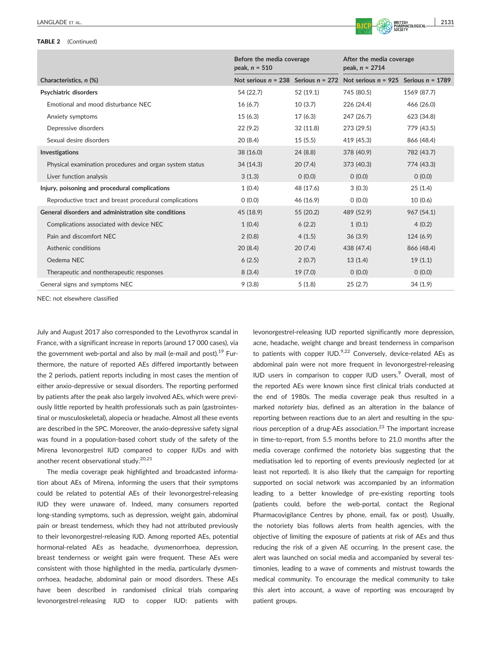#### TABLE 2 (Continued)



|                                                         | Before the media coverage<br>peak, $n = 510$ |           | After the media coverage<br>peak, $n = 2714$ |             |
|---------------------------------------------------------|----------------------------------------------|-----------|----------------------------------------------|-------------|
| Characteristics, n (%)                                  | Not serious $n = 238$ Serious $n = 272$      |           | Not serious $n = 925$ Serious $n = 1789$     |             |
| Psychiatric disorders                                   | 54 (22.7)                                    | 52(19.1)  | 745 (80.5)                                   | 1569 (87.7) |
| Emotional and mood disturbance NEC                      | 16(6.7)                                      | 10(3.7)   | 226 (24.4)                                   | 466 (26.0)  |
| Anxiety symptoms                                        | 15(6.3)                                      | 17(6.3)   | 247 (26.7)                                   | 623 (34.8)  |
| Depressive disorders                                    | 22(9.2)                                      | 32(11.8)  | 273 (29.5)                                   | 779 (43.5)  |
| Sexual desire disorders                                 | 20(8.4)                                      | 15(5.5)   | 419 (45.3)                                   | 866 (48.4)  |
| Investigations                                          | 38 (16.0)                                    | 24(8.8)   | 378 (40.9)                                   | 782 (43.7)  |
| Physical examination procedures and organ system status | 34(14.3)                                     | 20(7.4)   | 373 (40.3)                                   | 774 (43.3)  |
| Liver function analysis                                 | 3(1.3)                                       | 0(0.0)    | 0(0.0)                                       | 0(0.0)      |
| Injury, poisoning and procedural complications          | 1(0.4)                                       | 48 (17.6) | 3(0.3)                                       | 25(1.4)     |
| Reproductive tract and breast procedural complications  | 0(0.0)                                       | 46 (16.9) | 0(0.0)                                       | 10(0.6)     |
| General disorders and administration site conditions    | 45 (18.9)                                    | 55 (20.2) | 489 (52.9)                                   | 967 (54.1)  |
| Complications associated with device NEC                | 1(0.4)                                       | 6(2.2)    | 1(0.1)                                       | 4(0.2)      |
| Pain and discomfort NEC                                 | 2(0.8)                                       | 4(1.5)    | 36(3.9)                                      | 124(6.9)    |
| Asthenic conditions                                     | 20(8.4)                                      | 20(7.4)   | 438 (47.4)                                   | 866 (48.4)  |
| Oedema NEC                                              | 6(2.5)                                       | 2(0.7)    | 13(1.4)                                      | 19(1.1)     |
| Therapeutic and nontherapeutic responses                | 8(3.4)                                       | 19(7.0)   | 0(0.0)                                       | 0(0.0)      |
| General signs and symptoms NEC                          | 9(3.8)                                       | 5(1.8)    | 25(2.7)                                      | 34(1.9)     |

NEC: not elsewhere classified

July and August 2017 also corresponded to the Levothyrox scandal in France, with a significant increase in reports (around 17 000 cases), via the government web-portal and also by mail (e-mail and post).<sup>19</sup> Furthermore, the nature of reported AEs differed importantly between the 2 periods, patient reports including in most cases the mention of either anxio-depressive or sexual disorders. The reporting performed by patients after the peak also largely involved AEs, which were previously little reported by health professionals such as pain (gastrointestinal or musculoskeletal), alopecia or headache. Almost all these events are described in the SPC. Moreover, the anxio‐depressive safety signal was found in a population-based cohort study of the safety of the Mirena levonorgestrel IUD compared to copper IUDs and with another recent observational study.20,21

The media coverage peak highlighted and broadcasted information about AEs of Mirena, informing the users that their symptoms could be related to potential AEs of their levonorgestrel‐releasing IUD they were unaware of. Indeed, many consumers reported long-standing symptoms, such as depression, weight gain, abdominal pain or breast tenderness, which they had not attributed previously to their levonorgestrel‐releasing IUD. Among reported AEs, potential hormonal‐related AEs as headache, dysmenorrhoea, depression, breast tenderness or weight gain were frequent. These AEs were consistent with those highlighted in the media, particularly dysmenorrhoea, headache, abdominal pain or mood disorders. These AEs have been described in randomised clinical trials comparing levonorgestrel‐releasing IUD to copper IUD: patients with

levonorgestrel‐releasing IUD reported significantly more depression, acne, headache, weight change and breast tenderness in comparison to patients with copper  $IUD.^{9,22}$  Conversely, device-related AEs as abdominal pain were not more frequent in levonorgestrel‐releasing IUD users in comparison to copper IUD users.<sup>9</sup> Overall, most of the reported AEs were known since first clinical trials conducted at the end of 1980s. The media coverage peak thus resulted in a marked notoriety bias, defined as an alteration in the balance of reporting between reactions due to an alert and resulting in the spurious perception of a drug-AEs association.<sup>23</sup> The important increase in time‐to‐report, from 5.5 months before to 21.0 months after the media coverage confirmed the notoriety bias suggesting that the mediatisation led to reporting of events previously neglected (or at least not reported). It is also likely that the campaign for reporting supported on social network was accompanied by an information leading to a better knowledge of pre‐existing reporting tools (patients could, before the web‐portal, contact the Regional Pharmacovigilance Centres by phone, email, fax or post). Usually, the notoriety bias follows alerts from health agencies, with the objective of limiting the exposure of patients at risk of AEs and thus reducing the risk of a given AE occurring. In the present case, the alert was launched on social media and accompanied by several testimonies, leading to a wave of comments and mistrust towards the medical community. To encourage the medical community to take this alert into account, a wave of reporting was encouraged by patient groups.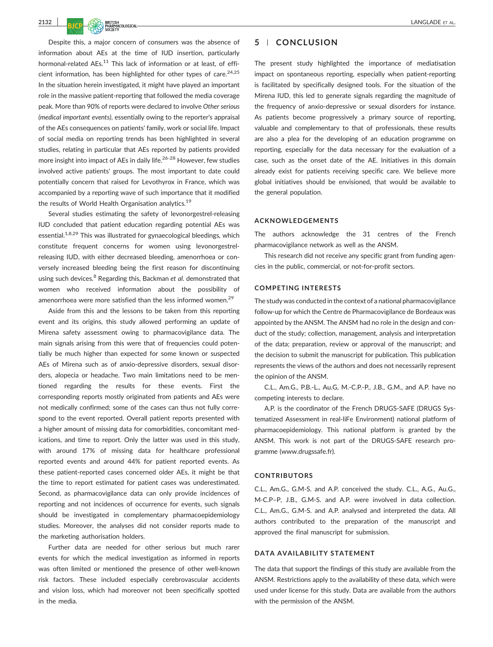2132 | DICHA BRITISH CONTROLLED ET AL. **AND BRITISH** 

Despite this, a major concern of consumers was the absence of information about AEs at the time of IUD insertion, particularly hormonal-related AEs.<sup>11</sup> This lack of information or at least, of efficient information, has been highlighted for other types of care. $24,25$ In the situation herein investigated, it might have played an important role in the massive patient‐reporting that followed the media coverage peak. More than 90% of reports were declared to involve Other serious (medical important events), essentially owing to the reporter's appraisal of the AEs consequences on patients' family, work or social life. Impact of social media on reporting trends has been highlighted in several studies, relating in particular that AEs reported by patients provided more insight into impact of AEs in daily life.<sup>26-28</sup> However, few studies involved active patients' groups. The most important to date could potentially concern that raised for Levothyrox in France, which was accompanied by a reporting wave of such importance that it modified the results of World Health Organisation analytics.<sup>19</sup>

Several studies estimating the safety of levonorgestrel‐releasing IUD concluded that patient education regarding potential AEs was essential.<sup>1,8,29</sup> This was illustrated for gynaecological bleedings, which constitute frequent concerns for women using levonorgestrel‐ releasing IUD, with either decreased bleeding, amenorrhoea or conversely increased bleeding being the first reason for discontinuing using such devices.<sup>8</sup> Regarding this, Backman et al. demonstrated that women who received information about the possibility of amenorrhoea were more satisfied than the less informed women.<sup>29</sup>

Aside from this and the lessons to be taken from this reporting event and its origins, this study allowed performing an update of Mirena safety assessment owing to pharmacovigilance data. The main signals arising from this were that of frequencies could potentially be much higher than expected for some known or suspected AEs of Mirena such as of anxio‐depressive disorders, sexual disorders, alopecia or headache. Two main limitations need to be mentioned regarding the results for these events. First the corresponding reports mostly originated from patients and AEs were not medically confirmed; some of the cases can thus not fully correspond to the event reported. Overall patient reports presented with a higher amount of missing data for comorbidities, concomitant medications, and time to report. Only the latter was used in this study, with around 17% of missing data for healthcare professional reported events and around 44% for patient reported events. As these patient‐reported cases concerned older AEs, it might be that the time to report estimated for patient cases was underestimated. Second, as pharmacovigilance data can only provide incidences of reporting and not incidences of occurrence for events, such signals should be investigated in complementary pharmacoepidemiology studies. Moreover, the analyses did not consider reports made to the marketing authorisation holders.

Further data are needed for other serious but much rarer events for which the medical investigation as informed in reports was often limited or mentioned the presence of other well‐known risk factors. These included especially cerebrovascular accidents and vision loss, which had moreover not been specifically spotted in the media.

## 5 | CONCLUSION

The present study highlighted the importance of mediatisation impact on spontaneous reporting, especially when patient‐reporting is facilitated by specifically designed tools. For the situation of the Mirena IUD, this led to generate signals regarding the magnitude of the frequency of anxio‐depressive or sexual disorders for instance. As patients become progressively a primary source of reporting, valuable and complementary to that of professionals, these results are also a plea for the developing of an education programme on reporting, especially for the data necessary for the evaluation of a case, such as the onset date of the AE. Initiatives in this domain already exist for patients receiving specific care. We believe more global initiatives should be envisioned, that would be available to the general population.

### ACKNOWLEDGEMENTS

The authors acknowledge the 31 centres of the French pharmacovigilance network as well as the ANSM.

This research did not receive any specific grant from funding agencies in the public, commercial, or not‐for‐profit sectors.

## COMPETING INTERESTS

The study was conducted in the context of a national pharmacovigilance follow-up for which the Centre de Pharmacovigilance de Bordeaux was appointed by the ANSM. The ANSM had no role in the design and conduct of the study; collection, management, analysis and interpretation of the data; preparation, review or approval of the manuscript; and the decision to submit the manuscript for publication. This publication represents the views of the authors and does not necessarily represent the opinion of the ANSM.

C.L., Am.G., P.B.‐L., Au.G, M.‐C.P.‐P., J.B., G.M., and A.P. have no competing interests to declare.

A.P. is the coordinator of the French DRUGS‐SAFE (DRUGS Systematized Assessment in real‐liFe Environment) national platform of pharmacoepidemiology. This national platform is granted by the ANSM. This work is not part of the DRUGS‐SAFE research programme [\(www.drugssafe.fr](http://www.drugssafe.fr)).

#### CONTRIBUTORS

C.L., Am.G., G.M‐S. and A.P. conceived the study. C.L., A.G., Au.G., M‐C.P–P, J.B., G.M‐S. and A.P. were involved in data collection. C.L., Am.G., G.M‐S. and A.P. analysed and interpreted the data. All authors contributed to the preparation of the manuscript and approved the final manuscript for submission.

#### DATA AVAILABILITY STATEMENT

The data that support the findings of this study are available from the ANSM. Restrictions apply to the availability of these data, which were used under license for this study. Data are available from the authors with the permission of the ANSM.